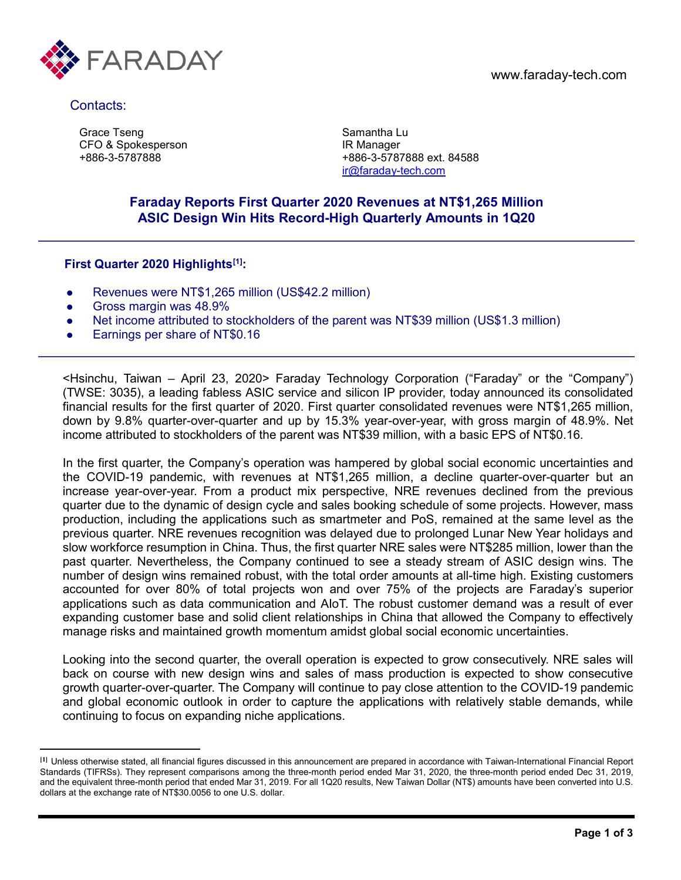

Contacts:

 $\overline{a}$ 

Grace Tseng CFO & Spokesperson +886-3-5787888

Samantha Lu IR Manager +886-3-5787888 ext. 84588 [ir@faraday-tech.com](mailto:ir@faraday-tech.com)

### **Faraday Reports First Quarter 2020 Revenues at NT\$1,265 Million ASIC Design Win Hits Record-High Quarterly Amounts in 1Q20**

### **First Quarter 2020 Highlights[\[1\]](#page-0-0):**

- Revenues were NT\$1,265 million (US\$42.2 million)
- **Gross margin was 48.9%**
- Net income attributed to stockholders of the parent was NT\$39 million (US\$1.3 million)
- Earnings per share of NT\$0.16

<Hsinchu, Taiwan – April 23, 2020> Faraday Technology Corporation ("Faraday" or the "Company") (TWSE: 3035), a leading fabless ASIC service and silicon IP provider, today announced its consolidated financial results for the first quarter of 2020. First quarter consolidated revenues were NT\$1,265 million, down by 9.8% quarter-over-quarter and up by 15.3% year-over-year, with gross margin of 48.9%. Net income attributed to stockholders of the parent was NT\$39 million, with a basic EPS of NT\$0.16.

In the first quarter, the Company's operation was hampered by global social economic uncertainties and the COVID-19 pandemic, with revenues at NT\$1,265 million, a decline quarter-over-quarter but an increase year-over-year. From a product mix perspective, NRE revenues declined from the previous quarter due to the dynamic of design cycle and sales booking schedule of some projects. However, mass production, including the applications such as smartmeter and PoS, remained at the same level as the previous quarter. NRE revenues recognition was delayed due to prolonged Lunar New Year holidays and slow workforce resumption in China. Thus, the first quarter NRE sales were NT\$285 million, lower than the past quarter. Nevertheless, the Company continued to see a steady stream of ASIC design wins. The number of design wins remained robust, with the total order amounts at all-time high. Existing customers accounted for over 80% of total projects won and over 75% of the projects are Faraday's superior applications such as data communication and AIoT. The robust customer demand was a result of ever expanding customer base and solid client relationships in China that allowed the Company to effectively manage risks and maintained growth momentum amidst global social economic uncertainties.

Looking into the second quarter, the overall operation is expected to grow consecutively. NRE sales will back on course with new design wins and sales of mass production is expected to show consecutive growth quarter-over-quarter. The Company will continue to pay close attention to the COVID-19 pandemic and global economic outlook in order to capture the applications with relatively stable demands, while continuing to focus on expanding niche applications.

<span id="page-0-0"></span>**<sup>[1]</sup>** Unless otherwise stated, all financial figures discussed in this announcement are prepared in accordance with Taiwan-International Financial Report Standards (TIFRSs). They represent comparisons among the three-month period ended Mar 31, 2020, the three-month period ended Dec 31, 2019, and the equivalent three-month period that ended Mar 31, 2019. For all 1Q20 results, New Taiwan Dollar (NT\$) amounts have been converted into U.S. dollars at the exchange rate of NT\$30.0056 to one U.S. dollar.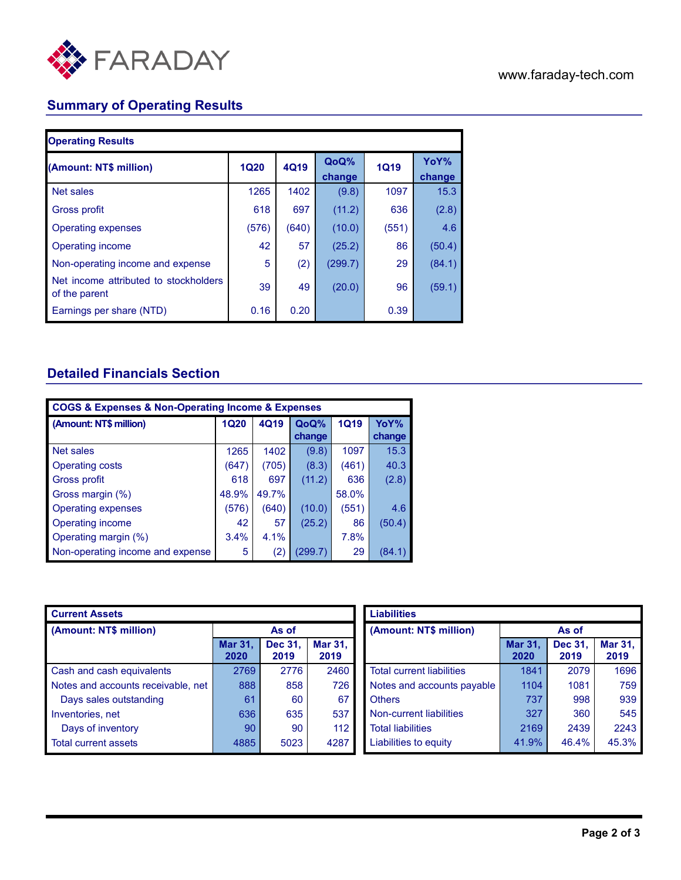

# **Summary of Operating Results**

| <b>Operating Results</b>                               |             |             |                |             |                |
|--------------------------------------------------------|-------------|-------------|----------------|-------------|----------------|
| (Amount: NT\$ million)                                 | <b>1Q20</b> | <b>4Q19</b> | QoQ%<br>change | <b>1Q19</b> | YoY%<br>change |
| Net sales                                              | 1265        | 1402        | (9.8)          | 1097        | 15.3           |
| Gross profit                                           | 618         | 697         | (11.2)         | 636         | (2.8)          |
| Operating expenses                                     | (576)       | (640)       | (10.0)         | (551)       | 4.6            |
| Operating income                                       | 42          | 57          | (25.2)         | 86          | (50.4)         |
| Non-operating income and expense                       | 5           | (2)         | (299.7)        | 29          | (84.1)         |
| Net income attributed to stockholders<br>of the parent | 39          | 49          | (20.0)         | 96          | (59.1)         |
| Earnings per share (NTD)                               | 0.16        | 0.20        |                | 0.39        |                |

## **Detailed Financials Section**

| <b>COGS &amp; Expenses &amp; Non-Operating Income &amp; Expenses</b> |       |       |         |             |        |
|----------------------------------------------------------------------|-------|-------|---------|-------------|--------|
| (Amount: NT\$ million)                                               | 1Q20  | 4Q19  | QoQ%    | <b>1Q19</b> | YoY%   |
|                                                                      |       |       | change  |             | change |
| Net sales                                                            | 1265  | 1402  | (9.8)   | 1097        | 15.3   |
| <b>Operating costs</b>                                               | (647) | (705) | (8.3)   | (461)       | 40.3   |
| <b>Gross profit</b>                                                  | 618   | 697   | (11.2)  | 636         | (2.8)  |
| Gross margin (%)                                                     | 48.9% | 49.7% |         | 58.0%       |        |
| <b>Operating expenses</b>                                            | (576) | (640) | (10.0)  | (551)       | 4.6    |
| Operating income                                                     | 42    | 57    | (25.2)  | 86          | (50.4) |
| Operating margin (%)                                                 | 3.4%  | 4.1%  |         | 7.8%        |        |
| Non-operating income and expense                                     | 5     | (2)   | (299.7) | 29          | (84.1) |

| <b>Current Assets</b>              |                        |                 |                        |
|------------------------------------|------------------------|-----------------|------------------------|
| (Amount: NT\$ million)             | As of                  |                 |                        |
|                                    | <b>Mar 31,</b><br>2020 | Dec 31,<br>2019 | <b>Mar 31,</b><br>2019 |
| Cash and cash equivalents          | 2769                   | 2776            | 2460                   |
| Notes and accounts receivable, net | 888                    | 858             | 726                    |
| Days sales outstanding             | 61                     | 60              | 67                     |
| Inventories, net                   | 636                    | 635             | 537                    |
| Days of inventory                  | 90                     | 90              | 112                    |
| <b>Total current assets</b>        | 4885                   | 5023            | 4287                   |

| <b>Liabilities</b>               |                        |                 |                 |  |  |
|----------------------------------|------------------------|-----------------|-----------------|--|--|
| (Amount: NT\$ million)           | As of                  |                 |                 |  |  |
|                                  | <b>Mar 31,</b><br>2020 | Dec 31,<br>2019 | Mar 31,<br>2019 |  |  |
| <b>Total current liabilities</b> | 1841                   | 2079            | 1696            |  |  |
| Notes and accounts payable       | 1104                   | 1081            | 759             |  |  |
| <b>Others</b>                    | 737                    | 998             | 939             |  |  |
| Non-current liabilities          | 327                    | 360             | 545             |  |  |
| <b>Total liabilities</b>         | 2169                   | 2439            | 2243            |  |  |
| Liabilities to equity            | 41.9%                  | 46.4%           | 45.3%           |  |  |